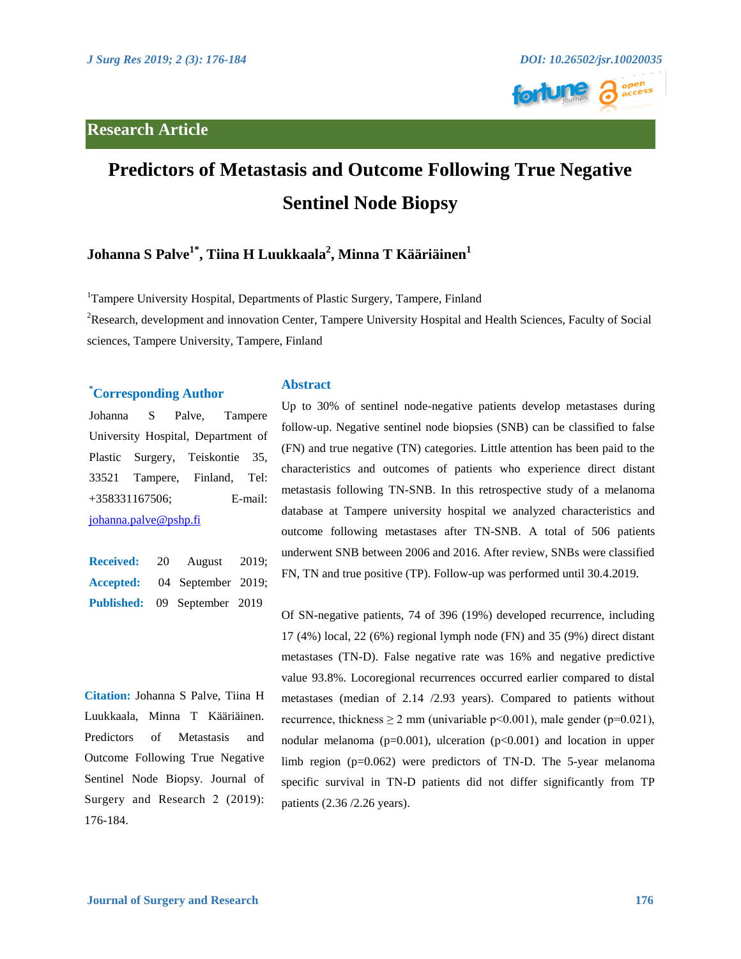

# **Predictors of Metastasis and Outcome Following True Negative Sentinel Node Biopsy**

# $\mathbf{J}$ ohanna  $\mathbf{S}$  Palve $^{1^*},\mathbf{T}$ iina  $\mathbf{H}$  Luukkaala $^{2},\mathbf{M}$ inna  $\mathbf{T}$  Kääriäinen $^{1}$

<sup>1</sup>Tampere University Hospital, Departments of Plastic Surgery, Tampere, Finland

<sup>2</sup>Research, development and innovation Center, Tampere University Hospital and Health Sciences, Faculty of Social sciences, Tampere University, Tampere, Finland

## **\* Corresponding Author**

Johanna S Palve, Tampere University Hospital, Department of Plastic Surgery, Teiskontie 35, 33521 Tampere, Finland, Tel: +358331167506; E-mail: <johanna.palve@pshp.fi>

**Received:** 20 August 2019; **Accepted:** 04 September 2019; **Published:** 09 September 2019

**Citation:** Johanna S Palve, Tiina H Luukkaala, Minna T Kääriäinen. Predictors of Metastasis and Outcome Following True Negative Sentinel Node Biopsy. Journal of Surgery and Research 2 (2019): 176-184.

#### **Abstract**

Up to 30% of sentinel node-negative patients develop metastases during follow-up. Negative sentinel node biopsies (SNB) can be classified to false (FN) and true negative (TN) categories. Little attention has been paid to the characteristics and outcomes of patients who experience direct distant metastasis following TN-SNB. In this retrospective study of a melanoma database at Tampere university hospital we analyzed characteristics and outcome following metastases after TN-SNB. A total of 506 patients underwent SNB between 2006 and 2016. After review, SNBs were classified FN, TN and true positive (TP). Follow-up was performed until 30.4.2019.

Of SN-negative patients, 74 of 396 (19%) developed recurrence, including 17 (4%) local, 22 (6%) regional lymph node (FN) and 35 (9%) direct distant metastases (TN-D). False negative rate was 16% and negative predictive value 93.8%. Locoregional recurrences occurred earlier compared to distal metastases (median of 2.14 /2.93 years). Compared to patients without recurrence, thickness  $\geq 2$  mm (univariable p<0.001), male gender (p=0.021), nodular melanoma ( $p=0.001$ ), ulceration ( $p<0.001$ ) and location in upper limb region (p=0.062) were predictors of TN-D. The 5-year melanoma specific survival in TN-D patients did not differ significantly from TP patients (2.36 /2.26 years).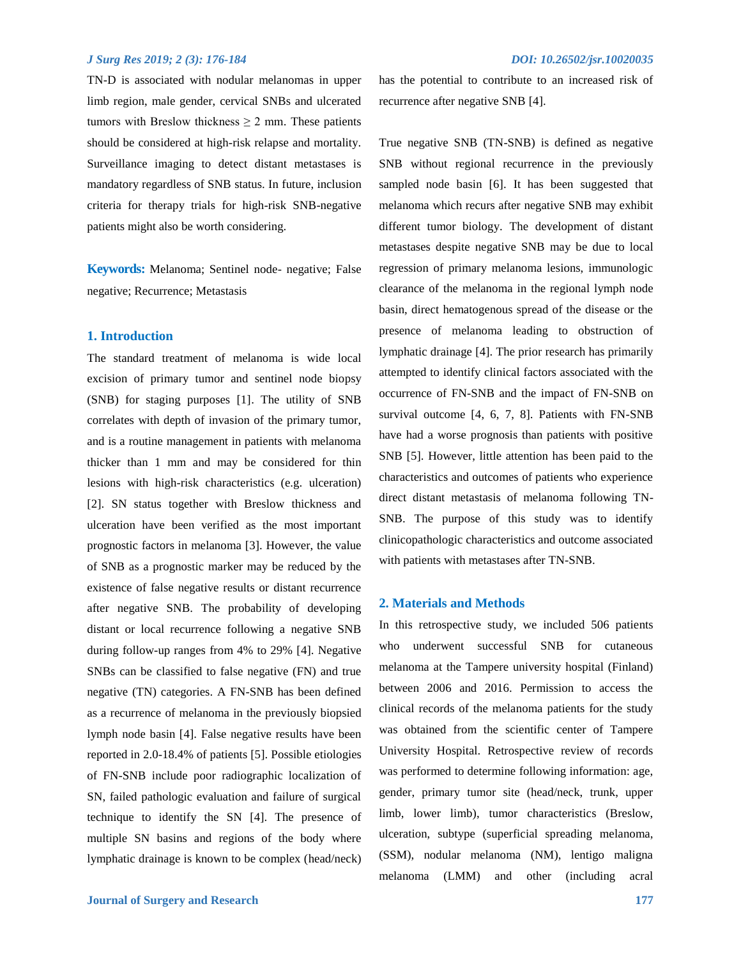TN-D is associated with nodular melanomas in upper limb region, male gender, cervical SNBs and ulcerated tumors with Breslow thickness  $\geq 2$  mm. These patients should be considered at high-risk relapse and mortality. Surveillance imaging to detect distant metastases is mandatory regardless of SNB status. In future, inclusion criteria for therapy trials for high-risk SNB-negative patients might also be worth considering.

**Keywords:** Melanoma; Sentinel node- negative; False negative; Recurrence; Metastasis

#### **1. Introduction**

The standard treatment of melanoma is wide local excision of primary tumor and sentinel node biopsy (SNB) for staging purposes [1]. The utility of SNB correlates with depth of invasion of the primary tumor, and is a routine management in patients with melanoma thicker than 1 mm and may be considered for thin lesions with high-risk characteristics (e.g. ulceration) [2]. SN status together with Breslow thickness and ulceration have been verified as the most important prognostic factors in melanoma [3]. However, the value of SNB as a prognostic marker may be reduced by the existence of false negative results or distant recurrence after negative SNB. The probability of developing distant or local recurrence following a negative SNB during follow-up ranges from 4% to 29% [4]. Negative SNBs can be classified to false negative (FN) and true negative (TN) categories. A FN-SNB has been defined as a recurrence of melanoma in the previously biopsied lymph node basin [4]. False negative results have been reported in 2.0-18.4% of patients [5]. Possible etiologies of FN-SNB include poor radiographic localization of SN, failed pathologic evaluation and failure of surgical technique to identify the SN [4]. The presence of multiple SN basins and regions of the body where lymphatic drainage is known to be complex (head/neck) has the potential to contribute to an increased risk of recurrence after negative SNB [4].

True negative SNB (TN-SNB) is defined as negative SNB without regional recurrence in the previously sampled node basin [6]. It has been suggested that melanoma which recurs after negative SNB may exhibit different tumor biology. The development of distant metastases despite negative SNB may be due to local regression of primary melanoma lesions, immunologic clearance of the melanoma in the regional lymph node basin, direct hematogenous spread of the disease or the presence of melanoma leading to obstruction of lymphatic drainage [4]. The prior research has primarily attempted to identify clinical factors associated with the occurrence of FN-SNB and the impact of FN-SNB on survival outcome [4, 6, 7, 8]. Patients with FN-SNB have had a worse prognosis than patients with positive SNB [5]. However, little attention has been paid to the characteristics and outcomes of patients who experience direct distant metastasis of melanoma following TN-SNB. The purpose of this study was to identify clinicopathologic characteristics and outcome associated with patients with metastases after TN-SNB.

#### **2. Materials and Methods**

In this retrospective study, we included 506 patients who underwent successful SNB for cutaneous melanoma at the Tampere university hospital (Finland) between 2006 and 2016. Permission to access the clinical records of the melanoma patients for the study was obtained from the scientific center of Tampere University Hospital. Retrospective review of records was performed to determine following information: age, gender, primary tumor site (head/neck, trunk, upper limb, lower limb), tumor characteristics (Breslow, ulceration, subtype (superficial spreading melanoma, (SSM), nodular melanoma (NM), lentigo maligna melanoma (LMM) and other (including acral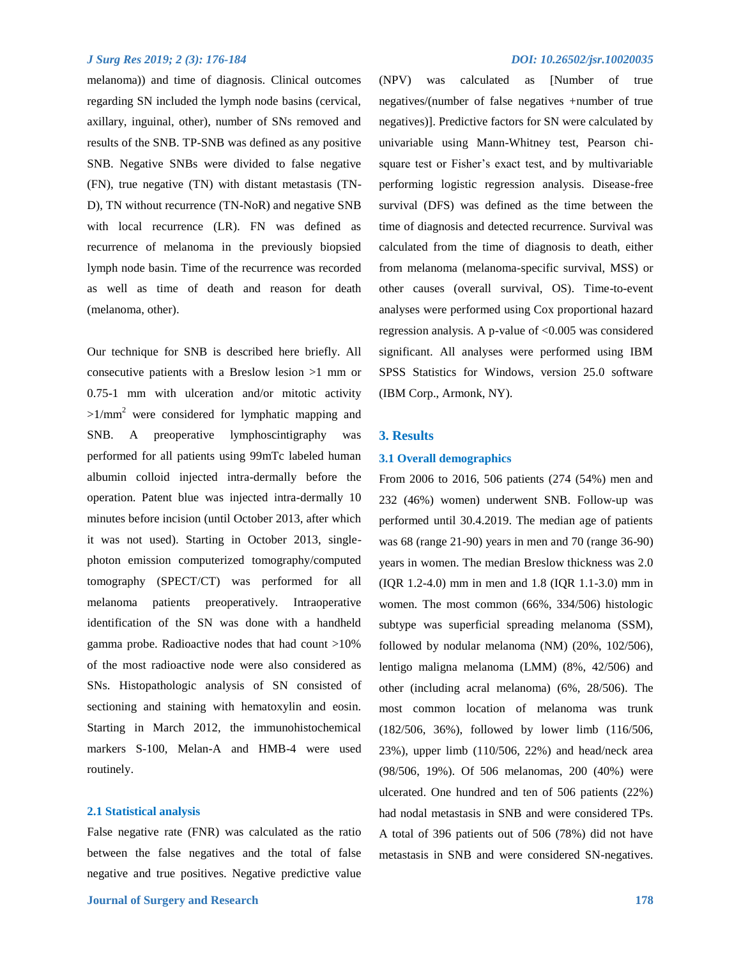melanoma)) and time of diagnosis. Clinical outcomes regarding SN included the lymph node basins (cervical, axillary, inguinal, other), number of SNs removed and results of the SNB. TP-SNB was defined as any positive SNB. Negative SNBs were divided to false negative (FN), true negative (TN) with distant metastasis (TN-D), TN without recurrence (TN-NoR) and negative SNB with local recurrence (LR). FN was defined as recurrence of melanoma in the previously biopsied lymph node basin. Time of the recurrence was recorded as well as time of death and reason for death (melanoma, other).

Our technique for SNB is described here briefly. All consecutive patients with a Breslow lesion >1 mm or 0.75-1 mm with ulceration and/or mitotic activity  $>1/\text{mm}^2$  were considered for lymphatic mapping and SNB. A preoperative lymphoscintigraphy was performed for all patients using 99mTc labeled human albumin colloid injected intra-dermally before the operation. Patent blue was injected intra-dermally 10 minutes before incision (until October 2013, after which it was not used). Starting in October 2013, singlephoton emission computerized tomography/computed tomography (SPECT/CT) was performed for all melanoma patients preoperatively. Intraoperative identification of the SN was done with a handheld gamma probe. Radioactive nodes that had count >10% of the most radioactive node were also considered as SNs. Histopathologic analysis of SN consisted of sectioning and staining with hematoxylin and eosin. Starting in March 2012, the immunohistochemical markers S-100, Melan-A and HMB-4 were used routinely.

#### **2.1 Statistical analysis**

False negative rate (FNR) was calculated as the ratio between the false negatives and the total of false negative and true positives. Negative predictive value

(NPV) was calculated as [Number of true negatives/(number of false negatives +number of true negatives)]. Predictive factors for SN were calculated by univariable using Mann-Whitney test, Pearson chisquare test or Fisher's exact test, and by multivariable performing logistic regression analysis. Disease-free survival (DFS) was defined as the time between the time of diagnosis and detected recurrence. Survival was calculated from the time of diagnosis to death, either from melanoma (melanoma-specific survival, MSS) or other causes (overall survival, OS). Time-to-event analyses were performed using Cox proportional hazard regression analysis. A p-value of <0.005 was considered significant. All analyses were performed using IBM SPSS Statistics for Windows, version 25.0 software (IBM Corp., Armonk, NY).

#### **3. Results**

#### **3.1 Overall demographics**

From 2006 to 2016, 506 patients (274 (54%) men and 232 (46%) women) underwent SNB. Follow-up was performed until 30.4.2019. The median age of patients was 68 (range 21-90) years in men and 70 (range 36-90) years in women. The median Breslow thickness was 2.0 (IQR 1.2-4.0) mm in men and 1.8 (IQR 1.1-3.0) mm in women. The most common (66%, 334/506) histologic subtype was superficial spreading melanoma (SSM), followed by nodular melanoma (NM) (20%, 102/506), lentigo maligna melanoma (LMM) (8%, 42/506) and other (including acral melanoma) (6%, 28/506). The most common location of melanoma was trunk (182/506, 36%), followed by lower limb (116/506, 23%), upper limb (110/506, 22%) and head/neck area (98/506, 19%). Of 506 melanomas, 200 (40%) were ulcerated. One hundred and ten of 506 patients (22%) had nodal metastasis in SNB and were considered TPs. A total of 396 patients out of 506 (78%) did not have metastasis in SNB and were considered SN-negatives.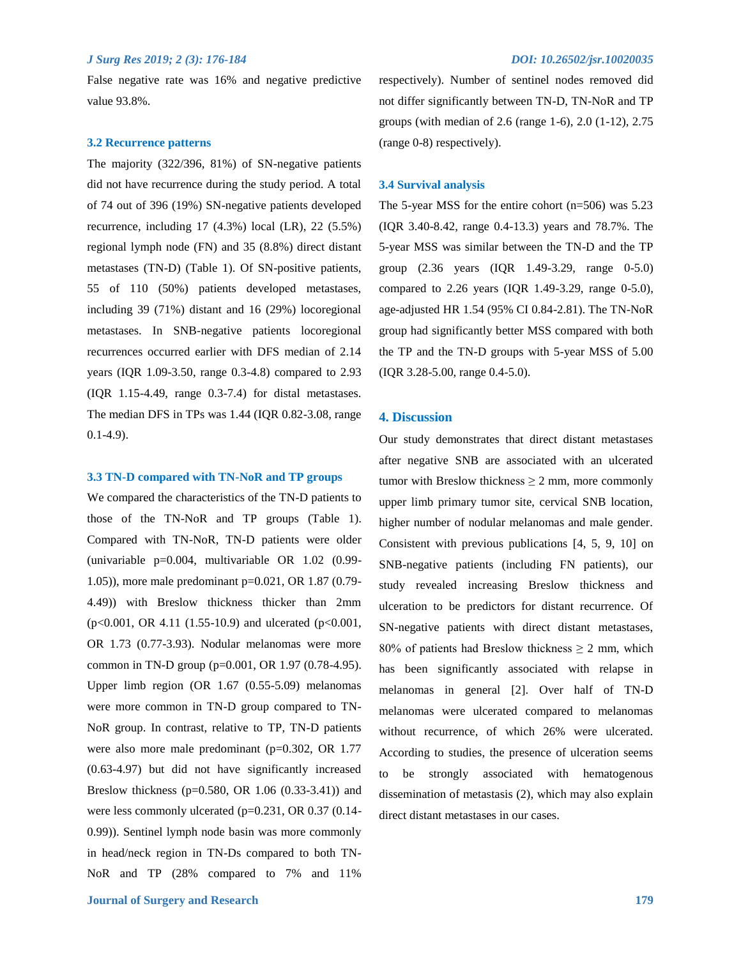False negative rate was 16% and negative predictive value 93.8%.

#### **3.2 Recurrence patterns**

The majority (322/396, 81%) of SN-negative patients did not have recurrence during the study period. A total of 74 out of 396 (19%) SN-negative patients developed recurrence, including 17 (4.3%) local (LR), 22 (5.5%) regional lymph node (FN) and 35 (8.8%) direct distant metastases (TN-D) (Table 1). Of SN-positive patients, 55 of 110 (50%) patients developed metastases, including 39 (71%) distant and 16 (29%) locoregional metastases. In SNB-negative patients locoregional recurrences occurred earlier with DFS median of 2.14 years (IQR 1.09-3.50, range 0.3-4.8) compared to 2.93 (IQR 1.15-4.49, range 0.3-7.4) for distal metastases. The median DFS in TPs was 1.44 (IQR 0.82-3.08, range 0.1-4.9).

#### **3.3 TN-D compared with TN-NoR and TP groups**

We compared the characteristics of the TN-D patients to those of the TN-NoR and TP groups (Table 1). Compared with TN-NoR, TN-D patients were older (univariable p=0.004, multivariable OR 1.02 (0.99- 1.05)), more male predominant p=0.021, OR 1.87 (0.79- 4.49)) with Breslow thickness thicker than 2mm (p<0.001, OR 4.11 (1.55-10.9) and ulcerated (p<0.001, OR 1.73 (0.77-3.93). Nodular melanomas were more common in TN-D group (p=0.001, OR 1.97 (0.78-4.95). Upper limb region (OR 1.67 (0.55-5.09) melanomas were more common in TN-D group compared to TN-NoR group. In contrast, relative to TP, TN-D patients were also more male predominant (p=0.302, OR 1.77) (0.63-4.97) but did not have significantly increased Breslow thickness (p=0.580, OR 1.06 (0.33-3.41)) and were less commonly ulcerated (p=0.231, OR 0.37 (0.14-0.99)). Sentinel lymph node basin was more commonly in head/neck region in TN-Ds compared to both TN-NoR and TP (28% compared to 7% and 11%

respectively). Number of sentinel nodes removed did not differ significantly between TN-D, TN-NoR and TP groups (with median of 2.6 (range 1-6), 2.0 (1-12), 2.75 (range 0-8) respectively).

#### **3.4 Survival analysis**

The 5-year MSS for the entire cohort (n=506) was 5.23 (IQR 3.40-8.42, range 0.4-13.3) years and 78.7%. The 5-year MSS was similar between the TN-D and the TP group (2.36 years (IQR 1.49-3.29, range 0-5.0) compared to 2.26 years (IQR 1.49-3.29, range 0-5.0), age-adjusted HR 1.54 (95% CI 0.84-2.81). The TN-NoR group had significantly better MSS compared with both the TP and the TN-D groups with 5-year MSS of 5.00 (IQR 3.28-5.00, range 0.4-5.0).

#### **4. Discussion**

Our study demonstrates that direct distant metastases after negative SNB are associated with an ulcerated tumor with Breslow thickness  $\geq 2$  mm, more commonly upper limb primary tumor site, cervical SNB location, higher number of nodular melanomas and male gender. Consistent with previous publications [4, 5, 9, 10] on SNB-negative patients (including FN patients), our study revealed increasing Breslow thickness and ulceration to be predictors for distant recurrence. Of SN-negative patients with direct distant metastases, 80% of patients had Breslow thickness  $\geq 2$  mm, which has been significantly associated with relapse in melanomas in general [2]. Over half of TN-D melanomas were ulcerated compared to melanomas without recurrence, of which 26% were ulcerated. According to studies, the presence of ulceration seems to be strongly associated with hematogenous dissemination of metastasis (2), which may also explain direct distant metastases in our cases.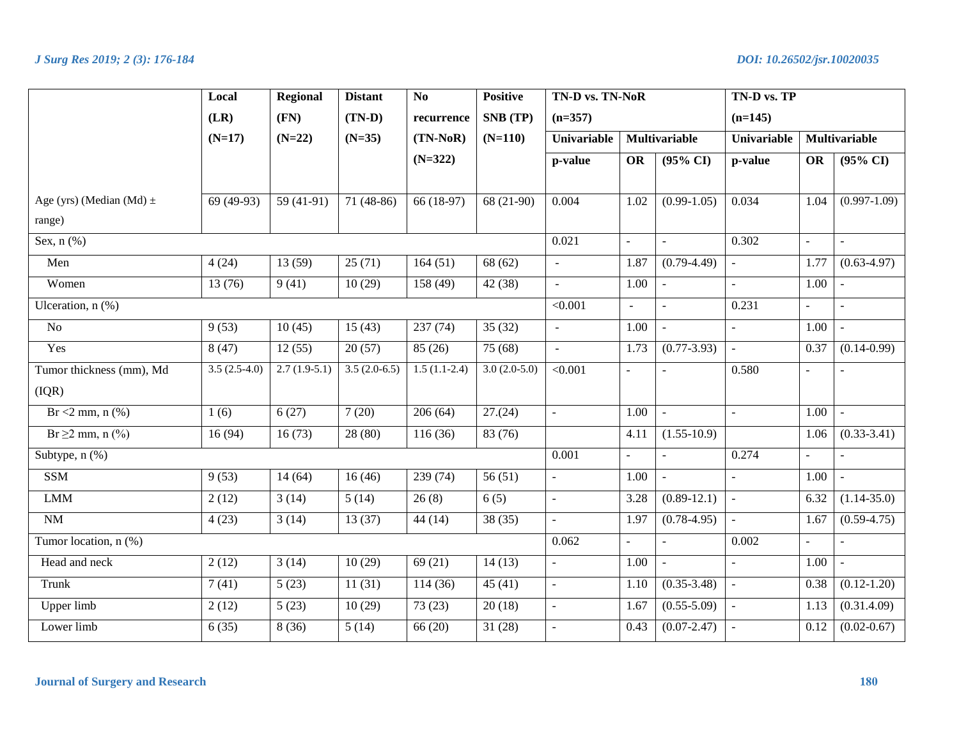|                              | Local          | <b>Regional</b> | <b>Distant</b> | N <sub>0</sub> | <b>Positive</b> | TN-D vs. TN-NoR<br>$(n=357)$ |                      |                     | TN-D vs. TP<br>$(n=145)$ |                      |                     |  |
|------------------------------|----------------|-----------------|----------------|----------------|-----------------|------------------------------|----------------------|---------------------|--------------------------|----------------------|---------------------|--|
|                              | (LR)           | (FN)            | $(TN-D)$       | recurrence     | SNB (TP)        |                              |                      |                     |                          |                      |                     |  |
|                              | $(N=17)$       | $(N=22)$        | $(N=35)$       | $(TN-NoR)$     | $(N=110)$       | Univariable                  | <b>Multivariable</b> |                     | Univariable              | <b>Multivariable</b> |                     |  |
|                              |                |                 |                | $(N=322)$      |                 | p-value                      | <b>OR</b>            | $(95\% \text{ CI})$ | p-value                  | <b>OR</b>            | $(95\% \text{ CI})$ |  |
|                              |                |                 |                |                |                 |                              |                      |                     |                          |                      |                     |  |
| Age (yrs) (Median (Md) $\pm$ | 69 (49-93)     | 59 $(41-91)$    | $71(48-86)$    | 66 (18-97)     | 68 (21-90)      | 0.004                        | 1.02                 | $(0.99 - 1.05)$     | 0.034                    | 1.04                 | $(0.997 - 1.09)$    |  |
| range)                       |                |                 |                |                |                 |                              |                      |                     |                          |                      |                     |  |
| Sex, $n$ $(\%)$              |                |                 |                |                |                 | 0.021                        | $\blacksquare$       |                     | 0.302                    |                      | $\overline{a}$      |  |
| Men                          | 4(24)          | 13(59)          | 25(71)         | 164(51)        | 68 (62)         | $\mathbb{Z}^2$               | 1.87                 | $(0.79 - 4.49)$     | $\mathbb{Z}^2$           | 1.77                 | $(0.63 - 4.97)$     |  |
| Women                        | 13 (76)        | 9(41)           | 10(29)         | 158 (49)       | 42 (38)         | $\mathbb{Z}^{\mathbb{Z}}$    | 1.00                 | $\sim$              | $\mathbb{Z}^2$           | 1.00                 | $\sim$              |  |
| Ulceration, n (%)            |                |                 |                |                |                 | < 0.001                      | $\sim$               | $\mathbb{Z}^2$      | 0.231                    | $\overline{a}$       | $\mathcal{L}$       |  |
| $\overline{No}$              | 9(53)          | 10(45)          | 15(43)         | 237(74)        | 35(32)          | $\mathbb{L}^2$               | 1.00                 | $\sim$              | $\mathbb{Z}^2$           | 1.00                 | $\sim$              |  |
| Yes                          | 8(47)          | 12(55)          | 20(57)         | 85 (26)        | 75 (68)         | $\omega$                     | 1.73                 | $(0.77 - 3.93)$     | $\omega$                 | 0.37                 | $(0.14 - 0.99)$     |  |
| Tumor thickness (mm), Md     | $3.5(2.5-4.0)$ | $2.7(1.9-5.1)$  | $3.5(2.0-6.5)$ | $1.5(1.1-2.4)$ | $3.0(2.0-5.0)$  | < 0.001                      | $\sim$               | $\overline{a}$      | 0.580                    | $\overline{a}$       |                     |  |
| (IQR)                        |                |                 |                |                |                 |                              |                      |                     |                          |                      |                     |  |
| $Br < 2 mm$ , n $(\% )$      | 1(6)           | 6(27)           | 7(20)          | 206(64)        | 27(24)          | $\sim$                       | 1.00                 | $\sim$              | $\omega$                 | 1.00                 | $\sim$              |  |
| $Br \ge 2$ mm, n $(\% )$     | 16(94)         | 16(73)          | 28 (80)        | 116(36)        | 83 (76)         |                              | 4.11                 | $(1.55-10.9)$       |                          | 1.06                 | $(0.33-3.41)$       |  |
| Subtype, n (%)               |                |                 |                |                |                 | 0.001                        | $\omega$             | $\omega$            | 0.274                    |                      |                     |  |
| <b>SSM</b>                   | 9(53)          | 14(64)          | 16(46)         | 239(74)        | 56(51)          |                              | 1.00                 | $\equiv$            | $\omega$                 | 1.00                 | $\omega$            |  |
| <b>LMM</b>                   | 2(12)          | 3(14)           | 5(14)          | 26(8)          | 6(5)            | $\blacksquare$               | 3.28                 | $(0.89-12.1)$       | $\mathbb{L}^2$           | 6.32                 | $(1.14 - 35.0)$     |  |
| $\rm{NM}$                    | 4(23)          | 3(14)           | 13(37)         | 44(14)         | 38(35)          | $\blacksquare$               | 1.97                 | $(0.78 - 4.95)$     | $\equiv$                 | 1.67                 | $(0.59 - 4.75)$     |  |
| Tumor location, $n$ (%)      |                |                 |                |                |                 | 0.062                        | $\bar{\phantom{a}}$  |                     | 0.002                    | $\overline{a}$       |                     |  |
| Head and neck                | 2(12)          | 3(14)           | 10(29)         | 69(21)         | 14(13)          | $\mathbb{L}^{\mathbb{N}}$    | 1.00                 | $\sim$              | $\omega$                 | 1.00                 | $\sim$              |  |
| Trunk                        | 7(41)          | 5(23)           | 11(31)         | 114 (36)       | 45(41)          | $\blacksquare$               | 1.10                 | $(0.35 - 3.48)$     | $\equiv$                 | 0.38                 | $(0.12 - 1.20)$     |  |
| <b>Upper</b> limb            | 2(12)          | 5(23)           | 10(29)         | 73(23)         | 20(18)          | $\blacksquare$               | 1.67                 | $(0.55 - 5.09)$     | $\omega$                 | 1.13                 | (0.31.4.09)         |  |
| Lower limb                   | 6(35)          | 8(36)           | 5(14)          | 66(20)         | 31(28)          |                              | 0.43                 | $(0.07 - 2.47)$     | $\overline{\phantom{a}}$ | 0.12                 | $(0.02 - 0.67)$     |  |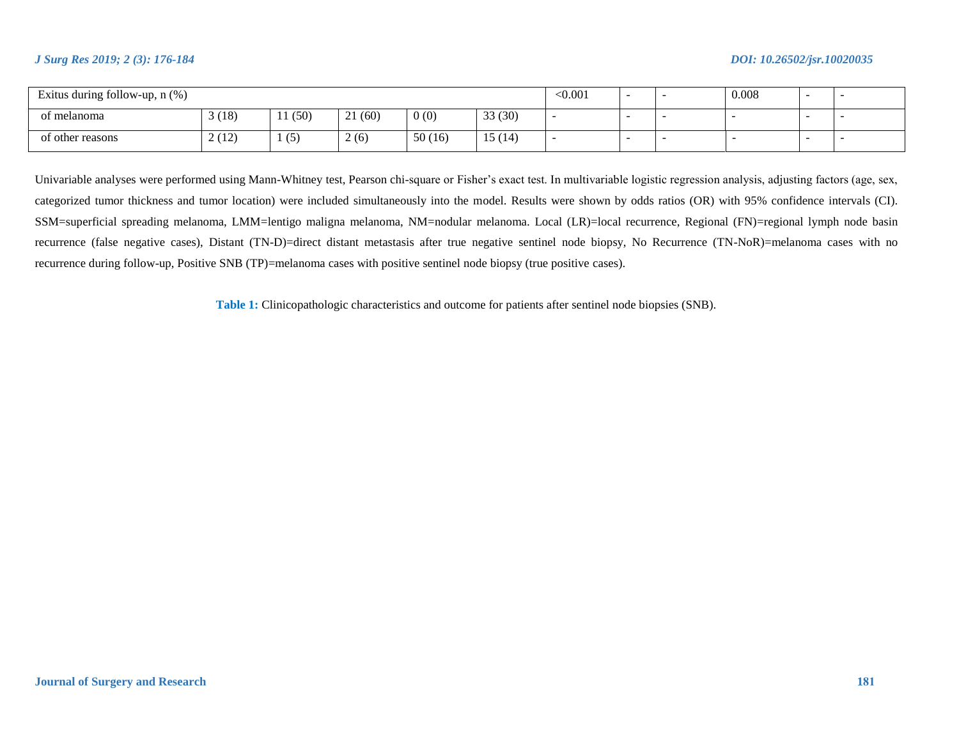| Exitus during follow-up, $n$ $%$ ) |       |       |             |        |        | < 0.001 |  | 0.008 | - |  |
|------------------------------------|-------|-------|-------------|--------|--------|---------|--|-------|---|--|
| of melanoma                        | 3(18) | 1(50) | 21(60)      | 0(0)   | 33(30) |         |  |       |   |  |
| of other reasons                   | 2(12) | (5)   | $\angle(6)$ | 50(16) | 15(14) |         |  |       | - |  |

Univariable analyses were performed using Mann-Whitney test, Pearson chi-square or Fisher's exact test. In multivariable logistic regression analysis, adjusting factors (age, sex, categorized tumor thickness and tumor location) were included simultaneously into the model. Results were shown by odds ratios (OR) with 95% confidence intervals (CI). SSM=superficial spreading melanoma, LMM=lentigo maligna melanoma, NM=nodular melanoma. Local (LR)=local recurrence, Regional (FN)=regional lymph node basin recurrence (false negative cases), Distant (TN-D)=direct distant metastasis after true negative sentinel node biopsy, No Recurrence (TN-NoR)=melanoma cases with no recurrence during follow-up, Positive SNB (TP)=melanoma cases with positive sentinel node biopsy (true positive cases).

**Table 1:** Clinicopathologic characteristics and outcome for patients after sentinel node biopsies (SNB).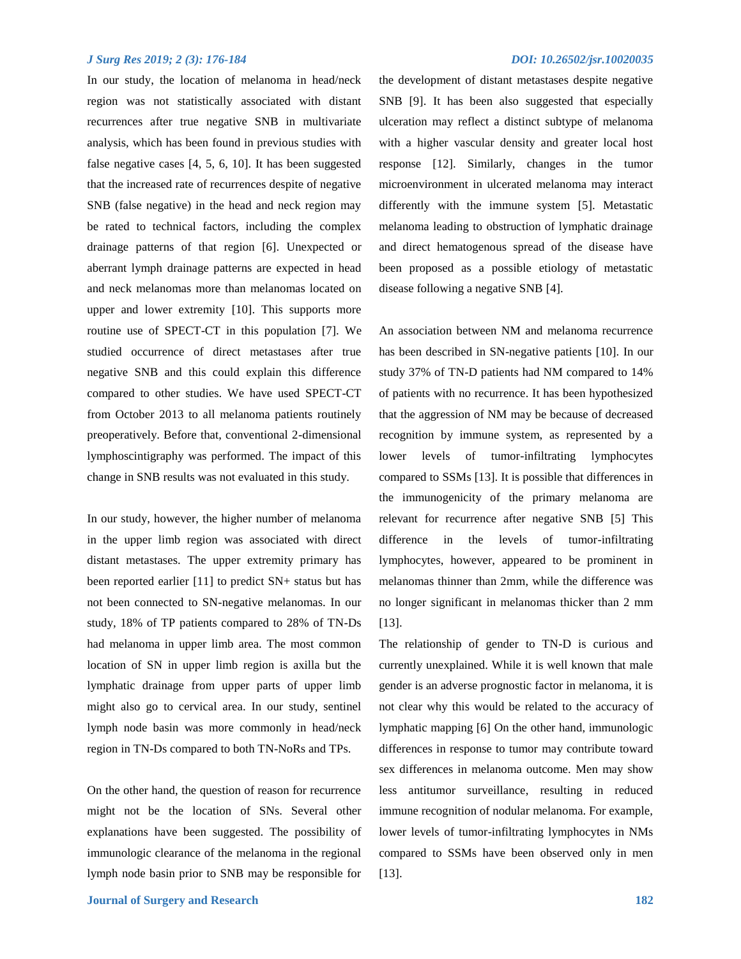In our study, the location of melanoma in head/neck region was not statistically associated with distant recurrences after true negative SNB in multivariate analysis, which has been found in previous studies with false negative cases [4, 5, 6, 10]. It has been suggested that the increased rate of recurrences despite of negative SNB (false negative) in the head and neck region may be rated to technical factors, including the complex drainage patterns of that region [6]. Unexpected or aberrant lymph drainage patterns are expected in head and neck melanomas more than melanomas located on upper and lower extremity [10]. This supports more routine use of SPECT-CT in this population [7]. We studied occurrence of direct metastases after true negative SNB and this could explain this difference compared to other studies. We have used SPECT-CT from October 2013 to all melanoma patients routinely preoperatively. Before that, conventional 2-dimensional lymphoscintigraphy was performed. The impact of this change in SNB results was not evaluated in this study.

In our study, however, the higher number of melanoma in the upper limb region was associated with direct distant metastases. The upper extremity primary has been reported earlier [11] to predict SN+ status but has not been connected to SN-negative melanomas. In our study, 18% of TP patients compared to 28% of TN-Ds had melanoma in upper limb area. The most common location of SN in upper limb region is axilla but the lymphatic drainage from upper parts of upper limb might also go to cervical area. In our study, sentinel lymph node basin was more commonly in head/neck region in TN-Ds compared to both TN-NoRs and TPs.

On the other hand, the question of reason for recurrence might not be the location of SNs. Several other explanations have been suggested. The possibility of immunologic clearance of the melanoma in the regional lymph node basin prior to SNB may be responsible for

the development of distant metastases despite negative SNB [9]. It has been also suggested that especially ulceration may reflect a distinct subtype of melanoma with a higher vascular density and greater local host response [12]. Similarly, changes in the tumor microenvironment in ulcerated melanoma may interact differently with the immune system [5]. Metastatic melanoma leading to obstruction of lymphatic drainage and direct hematogenous spread of the disease have been proposed as a possible etiology of metastatic disease following a negative SNB [4].

An association between NM and melanoma recurrence has been described in SN-negative patients [10]. In our study 37% of TN-D patients had NM compared to 14% of patients with no recurrence. It has been hypothesized that the aggression of NM may be because of decreased recognition by immune system, as represented by a lower levels of tumor-infiltrating lymphocytes compared to SSMs [13]. It is possible that differences in the immunogenicity of the primary melanoma are relevant for recurrence after negative SNB [5] This difference in the levels of tumor-infiltrating lymphocytes, however, appeared to be prominent in melanomas thinner than 2mm, while the difference was no longer significant in melanomas thicker than 2 mm [13].

The relationship of gender to TN-D is curious and currently unexplained. While it is well known that male gender is an adverse prognostic factor in melanoma, it is not clear why this would be related to the accuracy of lymphatic mapping [6] On the other hand, immunologic differences in response to tumor may contribute toward sex differences in melanoma outcome. Men may show less antitumor surveillance, resulting in reduced immune recognition of nodular melanoma. For example, lower levels of tumor-infiltrating lymphocytes in NMs compared to SSMs have been observed only in men [13].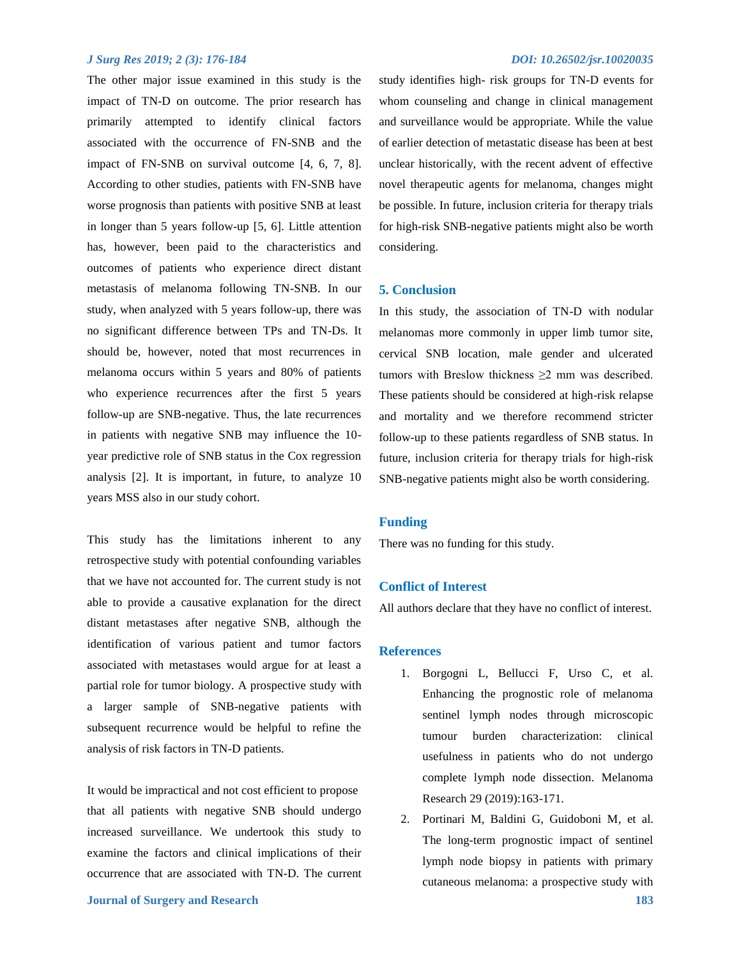The other major issue examined in this study is the impact of TN-D on outcome. The prior research has primarily attempted to identify clinical factors associated with the occurrence of FN-SNB and the impact of FN-SNB on survival outcome [4, 6, 7, 8]. According to other studies, patients with FN-SNB have worse prognosis than patients with positive SNB at least in longer than 5 years follow-up [5, 6]. Little attention has, however, been paid to the characteristics and outcomes of patients who experience direct distant metastasis of melanoma following TN-SNB. In our study, when analyzed with 5 years follow-up, there was no significant difference between TPs and TN-Ds. It should be, however, noted that most recurrences in melanoma occurs within 5 years and 80% of patients who experience recurrences after the first 5 years follow-up are SNB-negative. Thus, the late recurrences in patients with negative SNB may influence the 10 year predictive role of SNB status in the Cox regression analysis [2]. It is important, in future, to analyze 10 years MSS also in our study cohort.

This study has the limitations inherent to any retrospective study with potential confounding variables that we have not accounted for. The current study is not able to provide a causative explanation for the direct distant metastases after negative SNB, although the identification of various patient and tumor factors associated with metastases would argue for at least a partial role for tumor biology. A prospective study with a larger sample of SNB-negative patients with subsequent recurrence would be helpful to refine the analysis of risk factors in TN-D patients.

It would be impractical and not cost efficient to propose that all patients with negative SNB should undergo increased surveillance. We undertook this study to examine the factors and clinical implications of their occurrence that are associated with TN-D. The current study identifies high- risk groups for TN-D events for whom counseling and change in clinical management and surveillance would be appropriate. While the value of earlier detection of metastatic disease has been at best unclear historically, with the recent advent of effective novel therapeutic agents for melanoma, changes might be possible. In future, inclusion criteria for therapy trials for high-risk SNB-negative patients might also be worth considering.

#### **5. Conclusion**

In this study, the association of TN-D with nodular melanomas more commonly in upper limb tumor site, cervical SNB location, male gender and ulcerated tumors with Breslow thickness  $\geq 2$  mm was described. These patients should be considered at high-risk relapse and mortality and we therefore recommend stricter follow-up to these patients regardless of SNB status. In future, inclusion criteria for therapy trials for high-risk SNB-negative patients might also be worth considering.

#### **Funding**

There was no funding for this study.

#### **Conflict of Interest**

All authors declare that they have no conflict of interest.

#### **References**

- 1. Borgogni L, Bellucci F, Urso C, et al. Enhancing the prognostic role of melanoma sentinel lymph nodes through microscopic tumour burden characterization: clinical usefulness in patients who do not undergo complete lymph node dissection. Melanoma Research 29 (2019):163-171.
- 2. Portinari M, Baldini G, Guidoboni M, et al. The long-term prognostic impact of sentinel lymph node biopsy in patients with primary cutaneous melanoma: a prospective study with